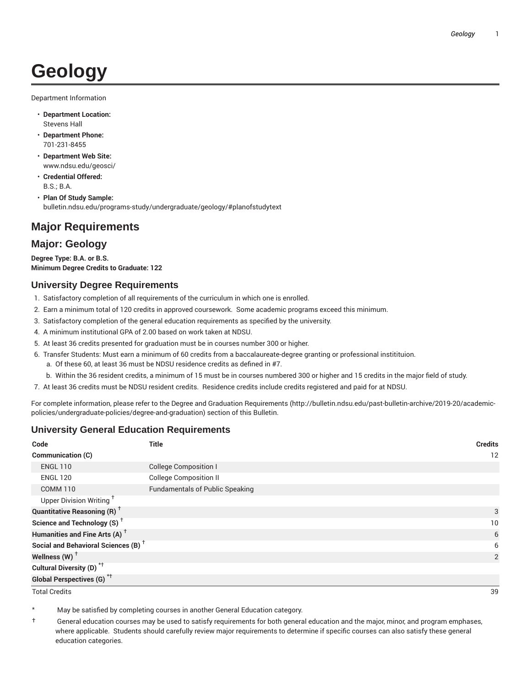# **Geology**

Department Information

- **Department Location:** Stevens Hall
- **Department Phone:** 701-231-8455
- **Department Web Site:** www.ndsu.edu/geosci/
- **Credential Offered:** B.S.; B.A.
- **Plan Of Study Sample:** bulletin.ndsu.edu/programs-study/undergraduate/geology/#planofstudytext

## **Major Requirements**

### **Major: Geology**

**Degree Type: B.A. or B.S. Minimum Degree Credits to Graduate: 122**

#### **University Degree Requirements**

- 1. Satisfactory completion of all requirements of the curriculum in which one is enrolled.
- 2. Earn a minimum total of 120 credits in approved coursework. Some academic programs exceed this minimum.
- 3. Satisfactory completion of the general education requirements as specified by the university.
- 4. A minimum institutional GPA of 2.00 based on work taken at NDSU.
- 5. At least 36 credits presented for graduation must be in courses number 300 or higher.
- 6. Transfer Students: Must earn a minimum of 60 credits from a baccalaureate-degree granting or professional institituion.
	- a. Of these 60, at least 36 must be NDSU residence credits as defined in #7.
	- b. Within the 36 resident credits, a minimum of 15 must be in courses numbered 300 or higher and 15 credits in the major field of study.
- 7. At least 36 credits must be NDSU resident credits. Residence credits include credits registered and paid for at NDSU.

For complete information, please refer to the Degree and Graduation Requirements (http://bulletin.ndsu.edu/past-bulletin-archive/2019-20/academicpolicies/undergraduate-policies/degree-and-graduation) section of this Bulletin.

#### **University General Education Requirements**

| Code                                            | <b>Title</b>                           | <b>Credits</b> |
|-------------------------------------------------|----------------------------------------|----------------|
| Communication (C)                               |                                        | 12             |
| <b>ENGL 110</b>                                 | <b>College Composition I</b>           |                |
| <b>ENGL 120</b>                                 | <b>College Composition II</b>          |                |
| <b>COMM 110</b>                                 | <b>Fundamentals of Public Speaking</b> |                |
| Upper Division Writing <sup>+</sup>             |                                        |                |
| <b>Quantitative Reasoning (R)</b> <sup>†</sup>  |                                        | 3              |
| Science and Technology (S) <sup>+</sup>         |                                        | 10             |
| Humanities and Fine Arts (A) <sup>+</sup>       |                                        | 6              |
| Social and Behavioral Sciences (B) <sup>+</sup> |                                        | 6              |
| Wellness $(W)$ <sup>+</sup>                     |                                        | 2              |
| Cultural Diversity (D) <sup>*†</sup>            |                                        |                |
| <b>Global Perspectives (G)<sup>*†</sup></b>     |                                        |                |

Total Credits 39

May be satisfied by completing courses in another General Education category.

† General education courses may be used to satisfy requirements for both general education and the major, minor, and program emphases, where applicable. Students should carefully review major requirements to determine if specific courses can also satisfy these general education categories.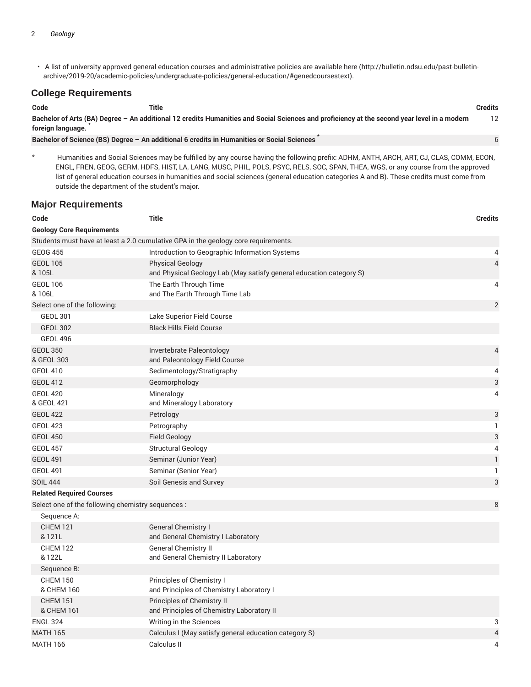• A list of university approved general education courses and administrative policies are available here (http://bulletin.ndsu.edu/past-bulletinarchive/2019-20/academic-policies/undergraduate-policies/general-education/#genedcoursestext).

#### **College Requirements**

| Code                                                                                                                                                             | Title                                                                                      | <b>Credits</b> |
|------------------------------------------------------------------------------------------------------------------------------------------------------------------|--------------------------------------------------------------------------------------------|----------------|
| Bachelor of Arts (BA) Degree - An additional 12 credits Humanities and Social Sciences and proficiency at the second year level in a modern<br>foreign language. |                                                                                            |                |
|                                                                                                                                                                  | Bachelor of Science (BS) Degree - An additional 6 credits in Humanities or Social Sciences |                |

\* Humanities and Social Sciences may be fulfilled by any course having the following prefix: ADHM, ANTH, ARCH, ART, CJ, CLAS, COMM, ECON, ENGL, FREN, GEOG, GERM, HDFS, HIST, LA, LANG, MUSC, PHIL, POLS, PSYC, RELS, SOC, SPAN, THEA, WGS, or any course from the approved list of general education courses in humanities and social sciences (general education categories A and B). These credits must come from outside the department of the student's major.

#### **Major Requirements**

| Code                                              | <b>Title</b>                                                                                   | <b>Credits</b> |
|---------------------------------------------------|------------------------------------------------------------------------------------------------|----------------|
| <b>Geology Core Requirements</b>                  |                                                                                                |                |
|                                                   | Students must have at least a 2.0 cumulative GPA in the geology core requirements.             |                |
| <b>GEOG 455</b>                                   | Introduction to Geographic Information Systems                                                 | 4              |
| <b>GEOL 105</b><br>& 105L                         | <b>Physical Geology</b><br>and Physical Geology Lab (May satisfy general education category S) | $\overline{4}$ |
| <b>GEOL 106</b><br>& 106L                         | The Earth Through Time<br>and The Earth Through Time Lab                                       | 4              |
| Select one of the following:                      |                                                                                                | $\overline{2}$ |
| <b>GEOL 301</b>                                   | Lake Superior Field Course                                                                     |                |
| <b>GEOL 302</b>                                   | <b>Black Hills Field Course</b>                                                                |                |
| <b>GEOL 496</b>                                   |                                                                                                |                |
| <b>GEOL 350</b><br>& GEOL 303                     | Invertebrate Paleontology<br>and Paleontology Field Course                                     | 4              |
| <b>GEOL 410</b>                                   | Sedimentology/Stratigraphy                                                                     | 4              |
| <b>GEOL 412</b>                                   | Geomorphology                                                                                  | 3              |
| <b>GEOL 420</b><br>& GEOL 421                     | Mineralogy<br>and Mineralogy Laboratory                                                        | 4              |
| <b>GEOL 422</b>                                   | Petrology                                                                                      | 3              |
| <b>GEOL 423</b>                                   | Petrography                                                                                    | 1              |
| <b>GEOL 450</b>                                   | <b>Field Geology</b>                                                                           | 3              |
| <b>GEOL 457</b>                                   | <b>Structural Geology</b>                                                                      | 4              |
| <b>GEOL 491</b>                                   | Seminar (Junior Year)                                                                          | $\mathbbm{1}$  |
| <b>GEOL 491</b>                                   | Seminar (Senior Year)                                                                          | 1              |
| <b>SOIL 444</b>                                   | Soil Genesis and Survey                                                                        | 3              |
| <b>Related Required Courses</b>                   |                                                                                                |                |
| Select one of the following chemistry sequences : |                                                                                                | 8              |
| Sequence A:                                       |                                                                                                |                |
| <b>CHEM 121</b><br>& 121L                         | General Chemistry I<br>and General Chemistry I Laboratory                                      |                |
| <b>CHEM 122</b><br>& 122L                         | <b>General Chemistry II</b><br>and General Chemistry II Laboratory                             |                |
| Sequence B:                                       |                                                                                                |                |
| <b>CHEM 150</b>                                   | Principles of Chemistry I                                                                      |                |
| & CHEM 160                                        | and Principles of Chemistry Laboratory I                                                       |                |
| <b>CHEM 151</b>                                   | Principles of Chemistry II                                                                     |                |
| & CHEM 161                                        | and Principles of Chemistry Laboratory II                                                      |                |
| <b>ENGL 324</b>                                   | Writing in the Sciences                                                                        | 3              |
| <b>MATH 165</b>                                   | Calculus I (May satisfy general education category S)                                          | 4              |
| <b>MATH 166</b>                                   | Calculus II                                                                                    | 4              |